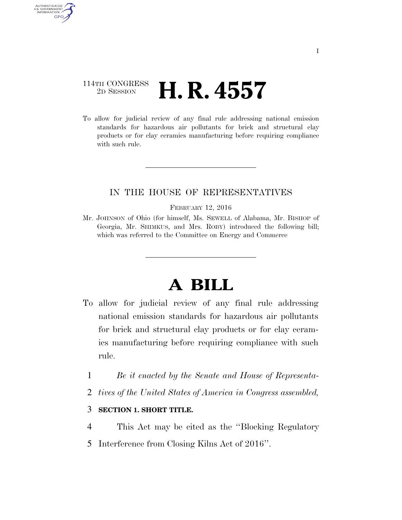# 114TH CONGRESS <sup>2D SESSION</sup> **H. R. 4557**

AUTHENTICATED U.S. GOVERNMENT **GPO** 

> To allow for judicial review of any final rule addressing national emission standards for hazardous air pollutants for brick and structural clay products or for clay ceramics manufacturing before requiring compliance with such rule.

## IN THE HOUSE OF REPRESENTATIVES

#### FEBRUARY 12, 2016

Mr. JOHNSON of Ohio (for himself, Ms. SEWELL of Alabama, Mr. BISHOP of Georgia, Mr. SHIMKUS, and Mrs. ROBY) introduced the following bill; which was referred to the Committee on Energy and Commerce

# **A BILL**

- To allow for judicial review of any final rule addressing national emission standards for hazardous air pollutants for brick and structural clay products or for clay ceramics manufacturing before requiring compliance with such rule.
	- 1 *Be it enacted by the Senate and House of Representa-*
	- 2 *tives of the United States of America in Congress assembled,*

### 3 **SECTION 1. SHORT TITLE.**

- 4 This Act may be cited as the ''Blocking Regulatory
- 5 Interference from Closing Kilns Act of 2016''.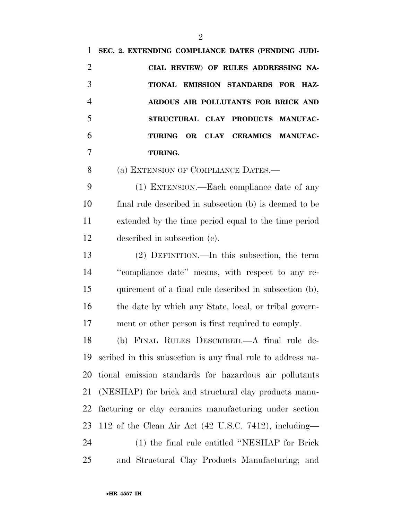**SEC. 2. EXTENDING COMPLIANCE DATES (PENDING JUDI- CIAL REVIEW) OF RULES ADDRESSING NA- TIONAL EMISSION STANDARDS FOR HAZ- ARDOUS AIR POLLUTANTS FOR BRICK AND STRUCTURAL CLAY PRODUCTS MANUFAC- TURING OR CLAY CERAMICS MANUFAC- TURING.**  8 (a) EXTENSION OF COMPLIANCE DATES.— (1) EXTENSION.—Each compliance date of any final rule described in subsection (b) is deemed to be extended by the time period equal to the time period described in subsection (c). (2) DEFINITION.—In this subsection, the term ''compliance date'' means, with respect to any re- quirement of a final rule described in subsection (b), 16 the date by which any State, local, or tribal govern- ment or other person is first required to comply. (b) FINAL RULES DESCRIBED.—A final rule de- scribed in this subsection is any final rule to address na- tional emission standards for hazardous air pollutants (NESHAP) for brick and structural clay products manu- facturing or clay ceramics manufacturing under section 112 of the Clean Air Act (42 U.S.C. 7412), including— (1) the final rule entitled ''NESHAP for Brick and Structural Clay Products Manufacturing; and